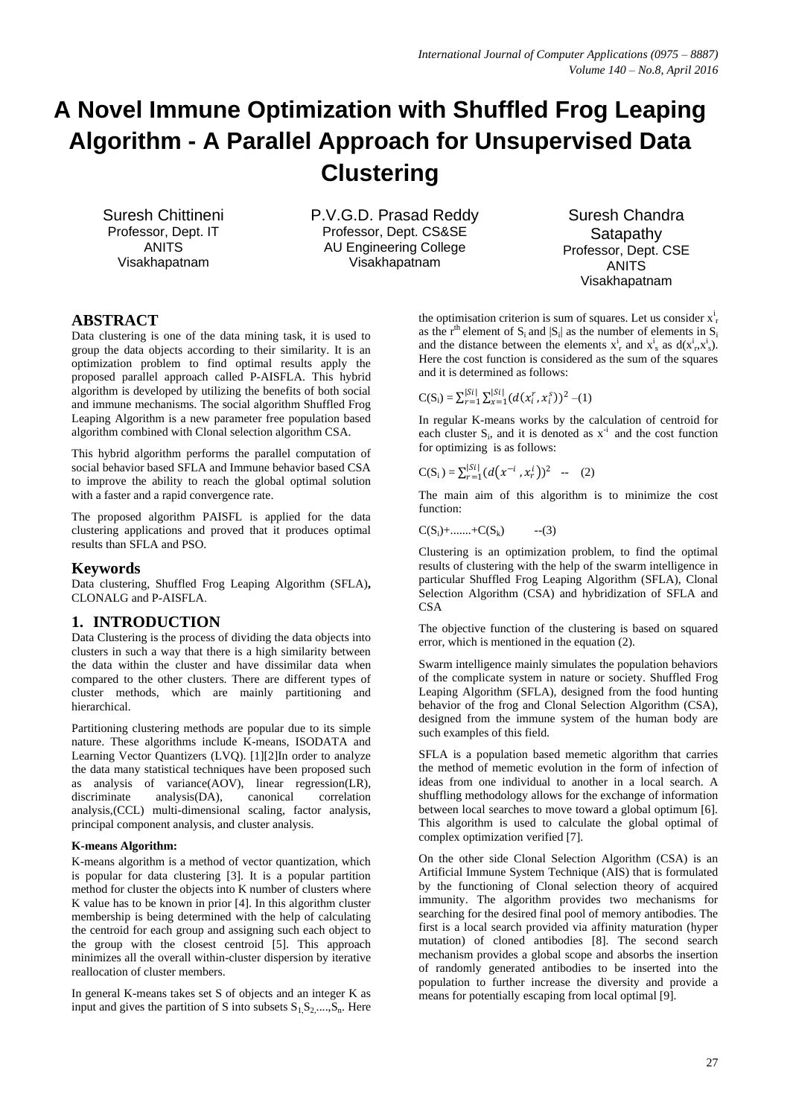# **A Novel Immune Optimization with Shuffled Frog Leaping Algorithm - A Parallel Approach for Unsupervised Data Clustering**

Suresh Chittineni Professor, Dept. IT ANITS Visakhapatnam

P.V.G.D. Prasad Reddy Professor, Dept. CS&SE AU Engineering College Visakhapatnam

Suresh Chandra Satapathy Professor, Dept. CSE ANITS Visakhapatnam

## **ABSTRACT**

Data clustering is one of the data mining task, it is used to group the data objects according to their similarity. It is an optimization problem to find optimal results apply the proposed parallel approach called P-AISFLA. This hybrid algorithm is developed by utilizing the benefits of both social and immune mechanisms. The social algorithm Shuffled Frog Leaping Algorithm is a new parameter free population based algorithm combined with Clonal selection algorithm CSA.

This hybrid algorithm performs the parallel computation of social behavior based SFLA and Immune behavior based CSA to improve the ability to reach the global optimal solution with a faster and a rapid convergence rate.

The proposed algorithm PAISFL is applied for the data clustering applications and proved that it produces optimal results than SFLA and PSO.

### **Keywords**

Data clustering, Shuffled Frog Leaping Algorithm (SFLA)**,**  CLONALG and P-AISFLA.

### **1. INTRODUCTION**

Data Clustering is the process of dividing the data objects into clusters in such a way that there is a high similarity between the data within the cluster and have dissimilar data when compared to the other clusters. There are different types of cluster methods, which are mainly partitioning and hierarchical.

Partitioning clustering methods are popular due to its simple nature. These algorithms include K-means, ISODATA and Learning Vector Quantizers (LVQ). [1][2]In order to analyze the data many statistical techniques have been proposed such as analysis of variance(AOV), linear regression(LR), discriminate analysis(DA), canonical correlation analysis,(CCL) multi-dimensional scaling, factor analysis, principal component analysis, and cluster analysis.

#### **K-means Algorithm:**

K-means algorithm is a method of vector quantization, which is popular for data clustering [3]. It is a popular partition method for cluster the objects into K number of clusters where K value has to be known in prior [4]. In this algorithm cluster membership is being determined with the help of calculating the centroid for each group and assigning such each object to the group with the closest centroid [5]. This approach minimizes all the overall within-cluster dispersion by iterative reallocation of cluster members.

In general K-means takes set S of objects and an integer K as input and gives the partition of S into subsets  $S_1, S_2, \ldots, S_n$ . Here the optimisation criterion is sum of squares. Let us consider  $x_r^i$ as the r<sup>th</sup> element of  $S_i$  and  $|S_i|$  as the number of elements in  $S_i$ and the distance between the elements  $x_i^i$  and  $x_s^i$  as  $d(x_i^i, x_s^i)$ . Here the cost function is considered as the sum of the squares and it is determined as follows:

$$
C(S_i) = \sum_{r=1}^{|Si|} \sum_{x=1}^{|Si|} (d(x_i^r, x_i^s))^2 - (1)
$$

In regular K-means works by the calculation of centroid for each cluster  $S_i$ , and it is denoted as  $x^i$  and the cost function for optimizing is as follows:

 $C(S_i) = \sum_{r=1}^{|Si|} (d(x^{-i}, x_r^i))^2$  -- (2)

The main aim of this algorithm is to minimize the cost function:

 $C(S_i)$ +.......+ $C(S_k)$  --(3)

Clustering is an optimization problem, to find the optimal results of clustering with the help of the swarm intelligence in particular Shuffled Frog Leaping Algorithm (SFLA), Clonal Selection Algorithm (CSA) and hybridization of SFLA and **CSA** 

The objective function of the clustering is based on squared error, which is mentioned in the equation (2).

Swarm intelligence mainly simulates the population behaviors of the complicate system in nature or society. Shuffled Frog Leaping Algorithm (SFLA), designed from the food hunting behavior of the frog and Clonal Selection Algorithm (CSA), designed from the immune system of the human body are such examples of this field.

SFLA is a population based memetic algorithm that carries the method of memetic evolution in the form of infection of ideas from one individual to another in a local search. A shuffling methodology allows for the exchange of information between local searches to move toward a global optimum [6]. This algorithm is used to calculate the global optimal of complex optimization verified [7].

On the other side Clonal Selection Algorithm (CSA) is an Artificial Immune System Technique (AIS) that is formulated by the functioning of Clonal selection theory of acquired immunity. The algorithm provides two mechanisms for searching for the desired final pool of memory antibodies. The first is a local search provided via affinity maturation (hyper mutation) of cloned antibodies [8]. The second search mechanism provides a global scope and absorbs the insertion of randomly generated antibodies to be inserted into the population to further increase the diversity and provide a means for potentially escaping from local optimal [9].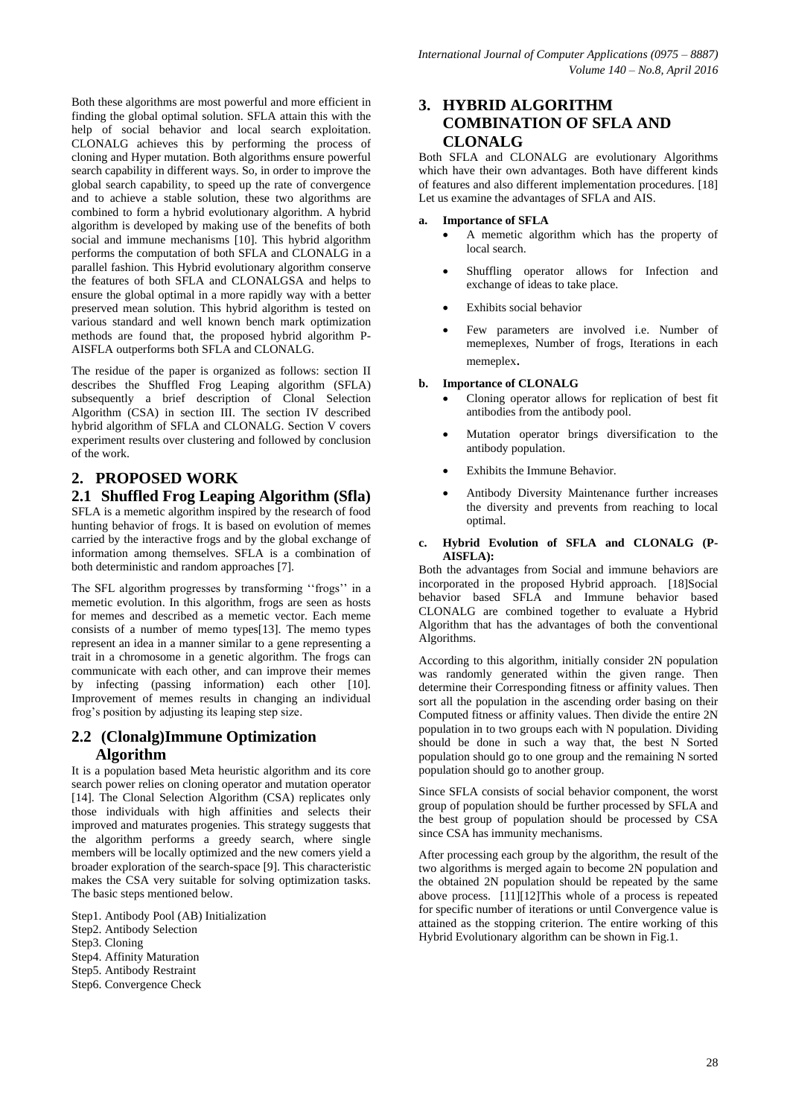Both these algorithms are most powerful and more efficient in finding the global optimal solution. SFLA attain this with the help of social behavior and local search exploitation. CLONALG achieves this by performing the process of cloning and Hyper mutation. Both algorithms ensure powerful search capability in different ways. So, in order to improve the global search capability, to speed up the rate of convergence and to achieve a stable solution, these two algorithms are combined to form a hybrid evolutionary algorithm. A hybrid algorithm is developed by making use of the benefits of both social and immune mechanisms [10]. This hybrid algorithm performs the computation of both SFLA and CLONALG in a parallel fashion. This Hybrid evolutionary algorithm conserve the features of both SFLA and CLONALGSA and helps to ensure the global optimal in a more rapidly way with a better preserved mean solution. This hybrid algorithm is tested on various standard and well known bench mark optimization methods are found that, the proposed hybrid algorithm P-AISFLA outperforms both SFLA and CLONALG.

The residue of the paper is organized as follows: section II describes the Shuffled Frog Leaping algorithm (SFLA) subsequently a brief description of Clonal Selection Algorithm (CSA) in section III. The section IV described hybrid algorithm of SFLA and CLONALG. Section V covers experiment results over clustering and followed by conclusion of the work.

# **2. PROPOSED WORK**

# **2.1 Shuffled Frog Leaping Algorithm (Sfla)**

SFLA is a memetic algorithm inspired by the research of food hunting behavior of frogs. It is based on evolution of memes carried by the interactive frogs and by the global exchange of information among themselves. SFLA is a combination of both deterministic and random approaches [7].

The SFL algorithm progresses by transforming "frogs" in a memetic evolution. In this algorithm, frogs are seen as hosts for memes and described as a memetic vector. Each meme consists of a number of memo types[13]. The memo types represent an idea in a manner similar to a gene representing a trait in a chromosome in a genetic algorithm. The frogs can communicate with each other, and can improve their memes by infecting (passing information) each other [10]. Improvement of memes results in changing an individual frog"s position by adjusting its leaping step size.

# **2.2 (Clonalg)Immune Optimization Algorithm**

It is a population based Meta heuristic algorithm and its core search power relies on cloning operator and mutation operator [14]. The Clonal Selection Algorithm (CSA) replicates only those individuals with high affinities and selects their improved and maturates progenies. This strategy suggests that the algorithm performs a greedy search, where single members will be locally optimized and the new comers yield a broader exploration of the search-space [9]. This characteristic makes the CSA very suitable for solving optimization tasks. The basic steps mentioned below.

Step1. Antibody Pool (AB) Initialization Step2. Antibody Selection Step3. Cloning Step4. Affinity Maturation Step5. Antibody Restraint Step6. Convergence Check

# **3. HYBRID ALGORITHM COMBINATION OF SFLA AND CLONALG**

Both SFLA and CLONALG are evolutionary Algorithms which have their own advantages. Both have different kinds of features and also different implementation procedures. [18] Let us examine the advantages of SFLA and AIS.

#### **a. Importance of SFLA**

- A memetic algorithm which has the property of local search.
- Shuffling operator allows for Infection and exchange of ideas to take place.
- Exhibits social behavior
- Few parameters are involved i.e. Number of memeplexes, Number of frogs, Iterations in each memeplex.

#### **b. Importance of CLONALG**

- Cloning operator allows for replication of best fit antibodies from the antibody pool.
- Mutation operator brings diversification to the antibody population.
- Exhibits the Immune Behavior.
- Antibody Diversity Maintenance further increases the diversity and prevents from reaching to local optimal.

#### **c. Hybrid Evolution of SFLA and CLONALG (P-AISFLA):**

Both the advantages from Social and immune behaviors are incorporated in the proposed Hybrid approach. [18]Social behavior based SFLA and Immune behavior based CLONALG are combined together to evaluate a Hybrid Algorithm that has the advantages of both the conventional Algorithms.

According to this algorithm, initially consider 2N population was randomly generated within the given range. Then determine their Corresponding fitness or affinity values. Then sort all the population in the ascending order basing on their Computed fitness or affinity values. Then divide the entire 2N population in to two groups each with N population. Dividing should be done in such a way that, the best N Sorted population should go to one group and the remaining N sorted population should go to another group.

Since SFLA consists of social behavior component, the worst group of population should be further processed by SFLA and the best group of population should be processed by CSA since CSA has immunity mechanisms.

After processing each group by the algorithm, the result of the two algorithms is merged again to become 2N population and the obtained 2N population should be repeated by the same above process. [11][12]This whole of a process is repeated for specific number of iterations or until Convergence value is attained as the stopping criterion. The entire working of this Hybrid Evolutionary algorithm can be shown in Fig.1.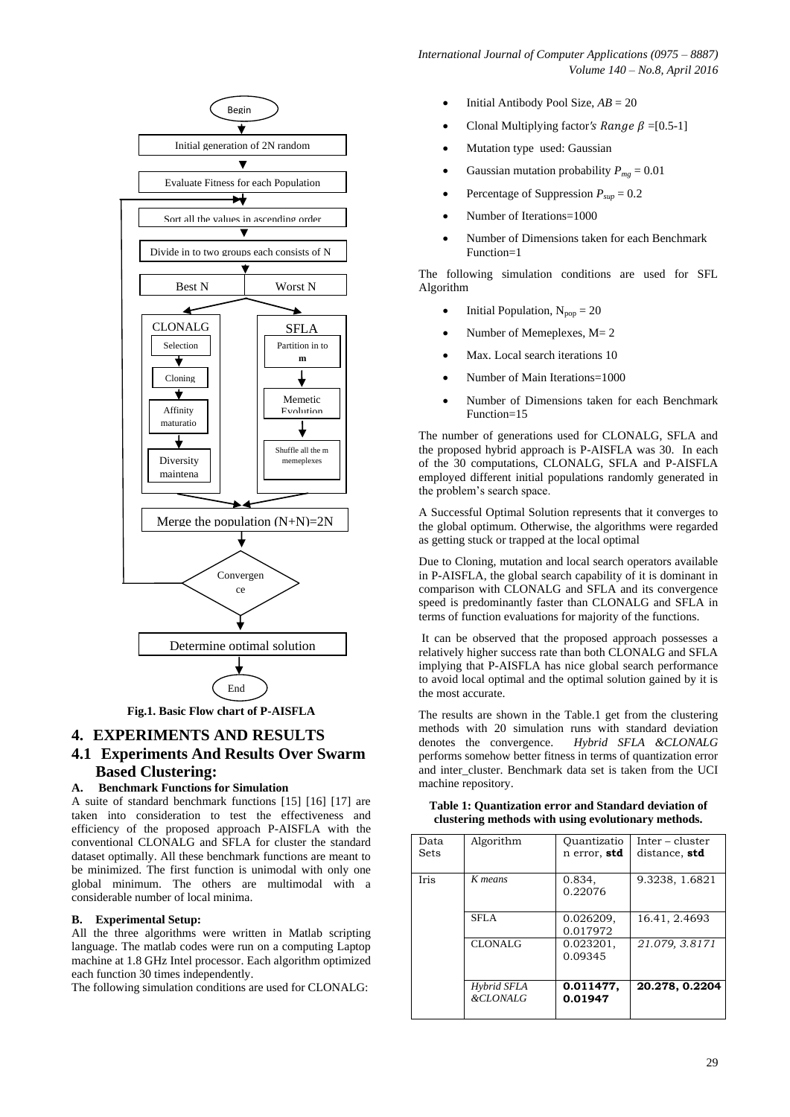

# **4. EXPERIMENTS AND RESULTS**

# **4.1 Experiments And Results Over Swarm Based Clustering:**

#### **A. Benchmark Functions for Simulation**

A suite of standard benchmark functions [15] [16] [17] are taken into consideration to test the effectiveness and efficiency of the proposed approach P-AISFLA with the conventional CLONALG and SFLA for cluster the standard dataset optimally. All these benchmark functions are meant to be minimized. The first function is unimodal with only one global minimum. The others are multimodal with a considerable number of local minima.

#### **B. Experimental Setup:**

All the three algorithms were written in Matlab scripting language. The matlab codes were run on a computing Laptop machine at 1.8 GHz Intel processor. Each algorithm optimized each function 30 times independently.

The following simulation conditions are used for CLONALG:

- Initial Antibody Pool Size, *AB* = 20
- Clonal Multiplying factor's Range  $\beta = [0.5-1]$
- Mutation type used: Gaussian
- Gaussian mutation probability  $P_{mg} = 0.01$
- Percentage of Suppression *Psup* = 0.2
- Number of Iterations=1000
- Number of Dimensions taken for each Benchmark Function=1

The following simulation conditions are used for SFL Algorithm

- Initial Population,  $N_{pop} = 20$
- Number of Memeplexes, M= 2
- Max. Local search iterations 10
- Number of Main Iterations=1000
- Number of Dimensions taken for each Benchmark Function=15

The number of generations used for CLONALG, SFLA and the proposed hybrid approach is P-AISFLA was 30. In each of the 30 computations, CLONALG, SFLA and P-AISFLA employed different initial populations randomly generated in the problem"s search space.

A Successful Optimal Solution represents that it converges to the global optimum. Otherwise, the algorithms were regarded as getting stuck or trapped at the local optimal

Due to Cloning, mutation and local search operators available in P-AISFLA, the global search capability of it is dominant in comparison with CLONALG and SFLA and its convergence speed is predominantly faster than CLONALG and SFLA in terms of function evaluations for majority of the functions.

It can be observed that the proposed approach possesses a relatively higher success rate than both CLONALG and SFLA implying that P-AISFLA has nice global search performance to avoid local optimal and the optimal solution gained by it is the most accurate.

The results are shown in the Table.1 get from the clustering methods with 20 simulation runs with standard deviation denotes the convergence. *Hybrid SFLA &CLONALG* performs somehow better fitness in terms of quantization error and inter cluster. Benchmark data set is taken from the UCI machine repository.

**Table 1: Quantization error and Standard deviation of clustering methods with using evolutionary methods.**

|                     |                   | Inter – cluster                                            |
|---------------------|-------------------|------------------------------------------------------------|
|                     | n error, std      | distance, std                                              |
|                     |                   |                                                            |
| K means             | 0.834,            | 9.3238, 1.6821                                             |
|                     |                   |                                                            |
|                     |                   |                                                            |
|                     |                   |                                                            |
|                     |                   | 16.41, 2.4693                                              |
|                     |                   |                                                            |
| <b>CLONALG</b>      | 0.023201,         | 21.079, 3.8171                                             |
|                     |                   |                                                            |
|                     |                   |                                                            |
|                     |                   |                                                            |
| Hybrid SFLA         | 0.011477,         | 20.278, 0.2204                                             |
| <b>&amp;CLONALG</b> | 0.01947           |                                                            |
|                     |                   |                                                            |
|                     | Algorithm<br>SFLA | Ouantizatio<br>0.22076<br>0.026209,<br>0.017972<br>0.09345 |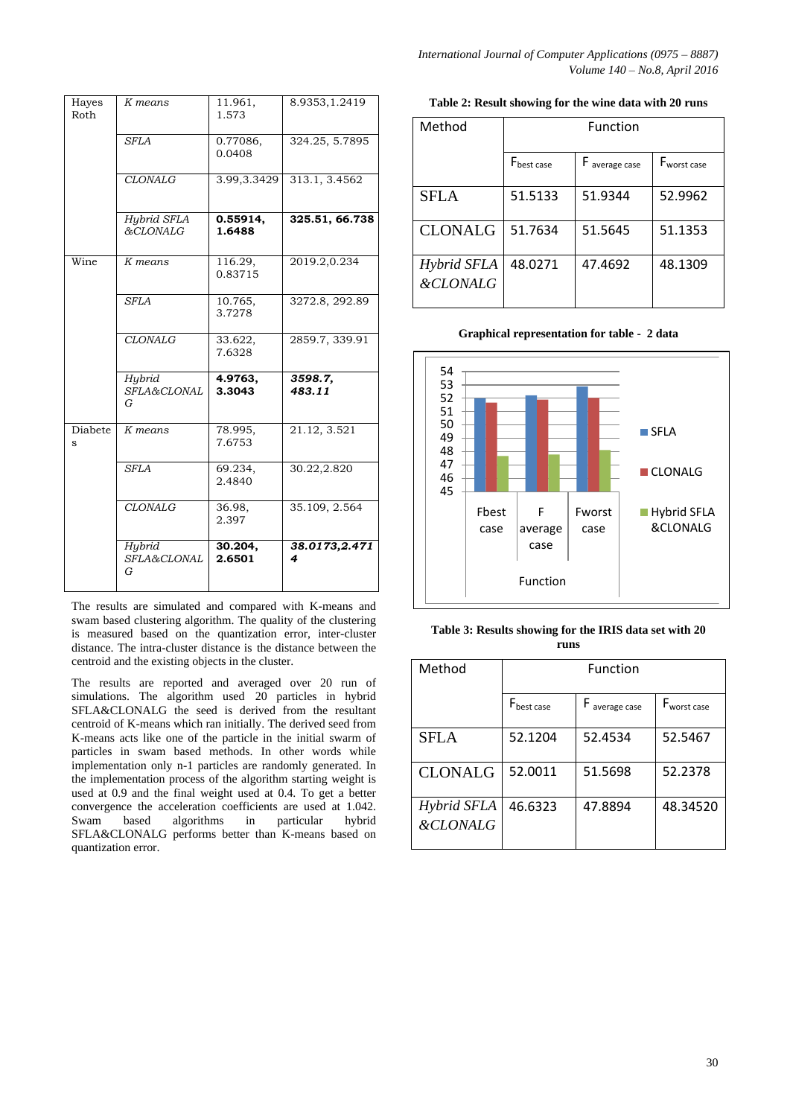| Hayes<br>Roth | K means                    | 11.961,<br>1.573   | 8.9353, 1.2419     |
|---------------|----------------------------|--------------------|--------------------|
|               | <b>SFLA</b>                | 0.77086,<br>0.0408 | 324.25, 5.7895     |
|               | <b>CLONALG</b>             | 3.99, 3.3429       | 313.1, 3.4562      |
|               | Hybrid SFLA<br>&CLONALG    | 0.55914,<br>1.6488 | 325.51, 66.738     |
| Wine          | K means                    | 116.29,<br>0.83715 | 2019.2,0.234       |
|               | <b>SFLA</b>                | 10.765,<br>3.7278  | 3272.8, 292.89     |
|               | <b>CLONALG</b>             | 33.622,<br>7.6328  | 2859.7, 339.91     |
|               | Hybrid<br>SFLA&CLONAL<br>G | 4.9763,<br>3.3043  | 3598.7.<br>483.11  |
| Diabete<br>S  | K means                    | 78.995,<br>7.6753  | 21.12, 3.521       |
|               | <b>SFLA</b>                | 69.234,<br>2.4840  | 30.22,2.820        |
|               | <b>CLONALG</b>             | 36.98,<br>2.397    | 35.109, 2.564      |
|               | Hybrid<br>SFLA&CLONAL<br>G | 30.204,<br>2.6501  | 38.0173,2.471<br>4 |

The results are simulated and compared with K-means and swam based clustering algorithm. The quality of the clustering is measured based on the quantization error, inter-cluster distance. The intra-cluster distance is the distance between the centroid and the existing objects in the cluster.

The results are reported and averaged over 20 run of simulations. The algorithm used 20 particles in hybrid SFLA&CLONALG the seed is derived from the resultant centroid of K-means which ran initially. The derived seed from K-means acts like one of the particle in the initial swarm of particles in swam based methods. In other words while implementation only n-1 particles are randomly generated. In the implementation process of the algorithm starting weight is used at 0.9 and the final weight used at 0.4. To get a better convergence the acceleration coefficients are used at 1.042.<br>Swam based algorithms in particular hybrid Swam based algorithms in particular hybrid SFLA&CLONALG performs better than K-means based on quantization error.

*International Journal of Computer Applications (0975 – 8887) Volume 140 – No.8, April 2016*

| Method                             | Function               |              |                         |  |
|------------------------------------|------------------------|--------------|-------------------------|--|
|                                    | F <sub>best case</sub> | average case | F <sub>worst case</sub> |  |
| <b>SFLA</b>                        | 51.5133                | 51.9344      | 52.9962                 |  |
| <b>CLONALG</b>                     | 51.7634                | 51.5645      | 51.1353                 |  |
| Hybrid SFLA<br><b>&amp;CLONALG</b> | 48.0271                | 47.4692      | 48.1309                 |  |

**Table 2: Result showing for the wine data with 20 runs**

**Graphical representation for table - 2 data**



**Table 3: Results showing for the IRIS data set with 20 runs**

| Method                             | Function               |                |                         |  |
|------------------------------------|------------------------|----------------|-------------------------|--|
|                                    | F <sub>best case</sub> | F average case | F <sub>worst case</sub> |  |
| <b>SFLA</b>                        | 52.1204                | 52.4534        | 52.5467                 |  |
| <b>CLONALG</b>                     | 52.0011                | 51.5698        | 52.2378                 |  |
| Hybrid SFLA<br><b>&amp;CLONALG</b> | 46.6323                | 47.8894        | 48.34520                |  |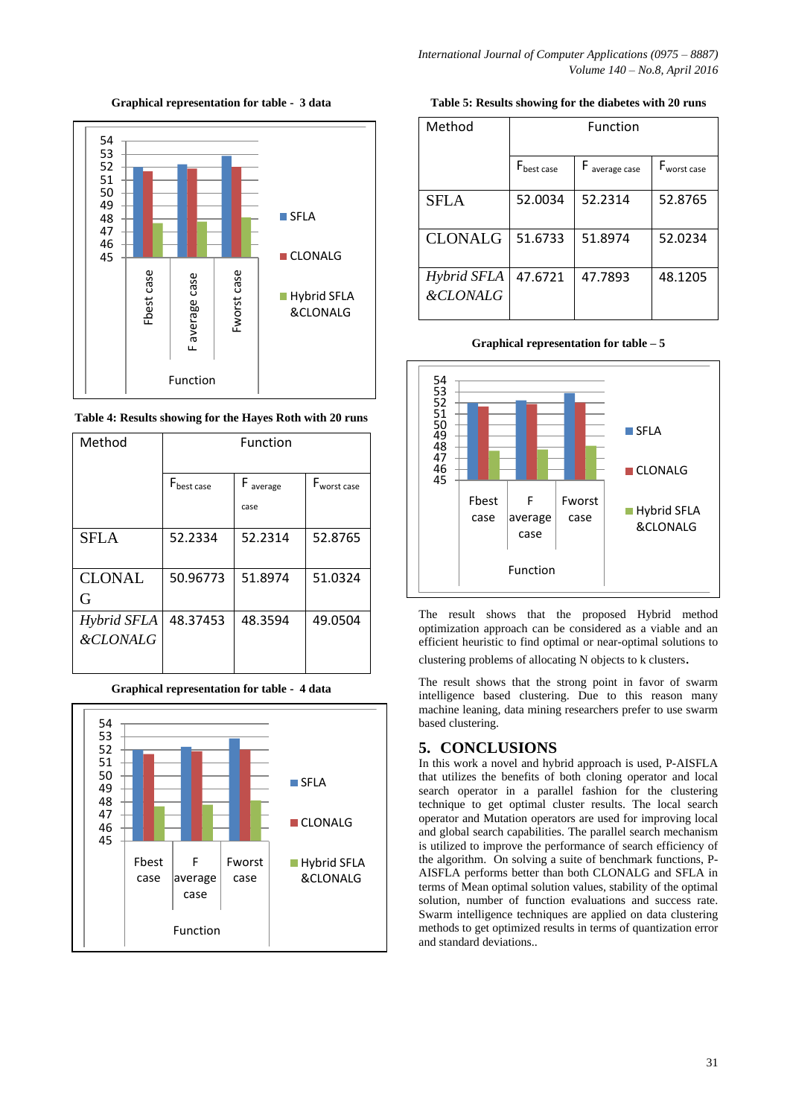**Graphical representation for table - 3 data**



**Table 4: Results showing for the Hayes Roth with 20 runs**

| Method                             | Function               |                                   |                         |  |
|------------------------------------|------------------------|-----------------------------------|-------------------------|--|
|                                    |                        |                                   |                         |  |
|                                    | $F_{\text{best case}}$ | $\boldsymbol{\mathsf{F}}$ average | F <sub>worst case</sub> |  |
|                                    |                        | case                              |                         |  |
| <b>SFLA</b>                        | 52.2334                | 52.2314                           | 52.8765                 |  |
| <b>CLONAL</b><br>G                 | 50.96773               | 51.8974                           | 51.0324                 |  |
| Hybrid SFLA<br><b>&amp;CLONALG</b> | 48.37453               | 48.3594                           | 49.0504                 |  |

| 54<br>53<br>52<br>51 |               |                      |                |                         |
|----------------------|---------------|----------------------|----------------|-------------------------|
| 50<br>49             |               |                      |                | $\blacksquare$ SFLA     |
| 48<br>47<br>46<br>45 |               |                      |                | <b>CLONALG</b>          |
|                      | Fbest<br>case | F<br>average<br>case | Fworst<br>case | Hybrid SFLA<br>&CLONALG |
|                      |               | Function             |                |                         |

**Graphical representation for table - 4 data**

**Table 5: Results showing for the diabetes with 20 runs**

| Method                             | Function               |                |                         |  |
|------------------------------------|------------------------|----------------|-------------------------|--|
|                                    | F <sub>best case</sub> | F average case | F <sub>worst case</sub> |  |
| <b>SFLA</b>                        | 52.0034                | 52.2314        | 52.8765                 |  |
| <b>CLONALG</b>                     | 51.6733                | 51.8974        | 52.0234                 |  |
| Hybrid SFLA<br><b>&amp;CLONALG</b> | 47.6721                | 47.7893        | 48.1205                 |  |

**Graphical representation for table – 5**



The result shows that the proposed Hybrid method optimization approach can be considered as a viable and an efficient heuristic to find optimal or near-optimal solutions to clustering problems of allocating N objects to k clusters.

The result shows that the strong point in favor of swarm intelligence based clustering. Due to this reason many machine leaning, data mining researchers prefer to use swarm based clustering.

# **5. CONCLUSIONS**

In this work a novel and hybrid approach is used, P-AISFLA that utilizes the benefits of both cloning operator and local search operator in a parallel fashion for the clustering technique to get optimal cluster results. The local search operator and Mutation operators are used for improving local and global search capabilities. The parallel search mechanism is utilized to improve the performance of search efficiency of the algorithm. On solving a suite of benchmark functions, P-AISFLA performs better than both CLONALG and SFLA in terms of Mean optimal solution values, stability of the optimal solution, number of function evaluations and success rate. Swarm intelligence techniques are applied on data clustering methods to get optimized results in terms of quantization error and standard deviations..